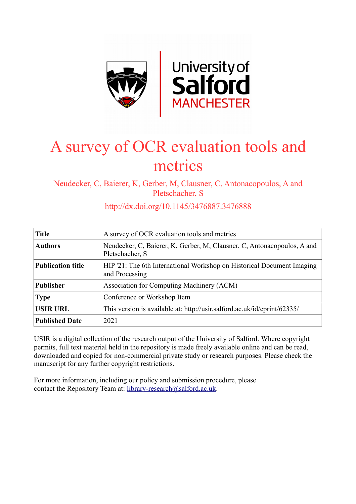

# A survey of OCR evaluation tools and metrics

Neudecker, C, Baierer, K, Gerber, M, Clausner, C, Antonacopoulos, A and Pletschacher, S

http://dx.doi.org/10.1145/3476887.3476888

| <b>Title</b>             | A survey of OCR evaluation tools and metrics                                               |
|--------------------------|--------------------------------------------------------------------------------------------|
| <b>Authors</b>           | Neudecker, C, Baierer, K, Gerber, M, Clausner, C, Antonacopoulos, A and<br>Pletschacher, S |
| <b>Publication title</b> | HIP '21: The 6th International Workshop on Historical Document Imaging<br>and Processing   |
| <b>Publisher</b>         | Association for Computing Machinery (ACM)                                                  |
| <b>Type</b>              | Conference or Workshop Item                                                                |
| <b>USIR URL</b>          | This version is available at: http://usir.salford.ac.uk/id/eprint/62335/                   |
| <b>Published Date</b>    | 2021                                                                                       |

USIR is a digital collection of the research output of the University of Salford. Where copyright permits, full text material held in the repository is made freely available online and can be read, downloaded and copied for non-commercial private study or research purposes. Please check the manuscript for any further copyright restrictions.

For more information, including our policy and submission procedure, please contact the Repository Team at: [library-research@salford.ac.uk.](mailto:library-research@salford.ac.uk)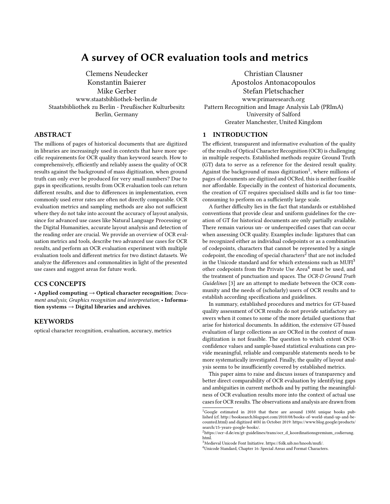# A survey of OCR evaluation tools and metrics

[Clemens Neudecker](https://orcid.org/0000-0001-5293-8322) [Konstantin Baierer](https://orcid.org/0000-0003-2397-242X) [Mike Gerber](https://orcid.org/0000-0003-2167-4322) www.staatsbibliothek-berlin.de Staatsbibliothek zu Berlin - Preußischer Kulturbesitz Berlin, Germany

# ABSTRACT

The millions of pages of historical documents that are digitized in libraries are increasingly used in contexts that have more specific requirements for OCR quality than keyword search. How to comprehensively, efficiently and reliably assess the quality of OCR results against the background of mass digitization, when ground truth can only ever be produced for very small numbers? Due to gaps in specifications, results from OCR evaluation tools can return different results, and due to differences in implementation, even commonly used error rates are often not directly comparable. OCR evaluation metrics and sampling methods are also not sufficient where they do not take into account the accuracy of layout analysis, since for advanced use cases like Natural Language Processing or the Digital Humanities, accurate layout analysis and detection of the reading order are crucial. We provide an overview of OCR evaluation metrics and tools, describe two advanced use cases for OCR results, and perform an OCR evaluation experiment with multiple evaluation tools and different metrics for two distinct datasets. We analyze the differences and commonalities in light of the presented use cases and suggest areas for future work.

# CCS CONCEPTS

• Applied computing → Optical character recognition; Document analysis; Graphics recognition and interpretation; • Information systems  $\rightarrow$  Digital libraries and archives.

# **KEYWORDS**

optical character recognition, evaluation, accuracy, metrics

[Christian Clausner](https://orcid.org/0000-0001-6041-1002) [Apostolos Antonacopoulos](https://orcid.org/0000-0001-9552-0233) [Stefan Pletschacher](https://orcid.org/0000-0003-0541-0968) www.primaresearch.org Pattern Recognition and Image Analysis Lab (PRImA) University of Salford Greater Manchester, United Kingdom

## 1 INTRODUCTION

The efficient, transparent and informative evaluation of the quality of the results of Optical Character Recognition (OCR) is challenging in multiple respects. Established methods require Ground Truth (GT) data to serve as a reference for the desired result quality. Against the background of mass digitization $^1$  $^1$ , where millions of pages of documents are digitized and OCRed, this is neither feasible nor affordable. Especially in the context of historical documents, the creation of GT requires specialised skills and is far too timeconsuming to perform on a sufficiently large scale.

A further difficulty lies in the fact that standards or established conventions that provide clear and uniform guidelines for the creation of GT for historical documents are only partially available. There remain various un- or underspecified cases that can occur when assessing OCR quality. Examples include: ligatures that can be recognized either as individual codepoints or as a combination of codepoints, characters that cannot be represented by a single codepoint, the encoding of special characters $^2$  $^2$  that are not included in the Unicode standard and for which extensions such as  $MUFI<sup>3</sup>$  $MUFI<sup>3</sup>$  $MUFI<sup>3</sup>$ other codepoints from the Private Use Area<sup>[4](#page-1-3)</sup> must be used, and the treatment of punctuation and spaces. The OCR-D Ground Truth Guidelines [\[3\]](#page-6-0) are an attempt to mediate between the OCR community and the needs of (scholarly) users of OCR results and to establish according specifications and guidelines.

In summary, established procedures and metrics for GT-based quality assessment of OCR results do not provide satisfactory answers when it comes to some of the more detailed questions that arise for historical documents. In addition, the extensive GT-based evaluation of large collections as are OCRed in the context of mass digitization is not feasible. The question to which extent OCRconfidence values and sample-based statistical evaluations can provide meaningful, reliable and comparable statements needs to be more systematically investigated. Finally, the quality of layout analysis seems to be insufficiently covered by established metrics.

This paper aims to raise and discuss issues of transparency and better direct comparability of OCR evaluation by identifying gaps and ambiguities in current methods and by putting the meaningfulness of OCR evaluation results more into the context of actual use cases for OCR results. The observations and analysis are drawn from

<span id="page-1-0"></span><sup>&</sup>lt;sup>1</sup>Google estimated in 2010 that there are around 130M unique books published (cf. [http://booksearch.blogspot.com/2010/08/books-of-world-stand-up-and-be](http://booksearch.blogspot.com/2010/08/books-of-world-stand-up-and-be-counted.html)[counted.html\)](http://booksearch.blogspot.com/2010/08/books-of-world-stand-up-and-be-counted.html) and digitized 40M in October 2019: [https://www.blog.google/products/](https://www.blog.google/products/search/15-years-google-books/) [search/15-years-google-books/.](https://www.blog.google/products/search/15-years-google-books/) <sup>2</sup>[https://ocr-d.de/en/gt-guidelines/trans/ocr\\_d\\_koordinationsgremium\\_codierung.](https://ocr-d.de/en/gt-guidelines/trans/ocr_d_koordinationsgremium_codierung.html)

<span id="page-1-1"></span>[html.](https://ocr-d.de/en/gt-guidelines/trans/ocr_d_koordinationsgremium_codierung.html)

<span id="page-1-2"></span><sup>3</sup>Medieval Unicode Font Initiative. [https://folk.uib.no/hnooh/mufi/.](https://folk.uib.no/hnooh/mufi/)

<span id="page-1-3"></span><sup>4</sup>Unicode Standard, Chapter 16: Special Areas and Format Characters.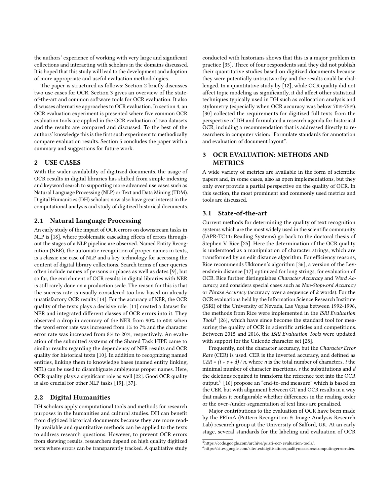the authors' experience of working with very large and significant collections and interacting with scholars in the domains discussed. It is hoped that this study will lead to the development and adoption of more appropriate and useful evaluation methodologies.

The paper is structured as follows: Section 2 briefly discusses two use cases for OCR. Section 3 gives an overview of the stateof-the-art and common software tools for OCR evaluation. It also discusses alternative approaches to OCR evaluation. In section 4, an OCR evaluation experiment is presented where five common OCR evaluation tools are applied in the OCR evaluation of two datasets and the results are compared and discussed. To the best of the authors' knowledge this is the first such experiment to methodically compare evaluation results. Section 5 concludes the paper with a summary and suggestions for future work.

## 2 USE CASES

With the wider availability of digitized documents, the usage of OCR results in digital libraries has shifted from simple indexing and keyword search to supporting more advanced use cases such as Natural Language Processing (NLP) or Text and Data Mining (TDM). Digital Humanities (DH) scholars now also have great interest in the computational analysis and study of digitized historical documents.

# 2.1 Natural Language Processing

An early study of the impact of OCR errors on downstream tasks in NLP is [\[18\]](#page-6-1), where problematic cascading effects of errors throughout the stages of a NLP pipeline are observed. Named Entity Recognition (NER), the automatic recognition of proper names in texts, is a classic use case of NLP and a key technology for accessing the content of digital library collections. Search terms of user queries often include names of persons or places as well as dates [\[9\]](#page-6-2), but so far, the enrichment of OCR results in digital libraries with NER is still rarely done on a production scale. The reason for this is that the success rate is usually considered too low based on already unsatisfactory OCR results [\[14\]](#page-6-3). For the accuracy of NER, the OCR quality of the texts plays a decisive role. [\[11\]](#page-6-4) created a dataset for NER and integrated different classes of OCR errors into it. They observed a drop in accuracy of the NER from 90% to 60% when the word error rate was increased from 1% to 7% and the character error rate was increased from 8% to 20%, respectively. An evaluation of the submitted systems of the Shared Task HIPE came to similar results regarding the dependency of NER results and OCR quality for historical texts [\[10\]](#page-6-5). In addition to recognizing named entities, linking them to knowledge bases (named entity linking, NEL) can be used to disambiguate ambiguous proper names. Here, OCR quality plays a significant role as well [\[22\]](#page-6-6). Good OCR quality is also crucial for other NLP tasks [\[19\]](#page-6-7), [\[37\]](#page-6-8).

# 2.2 Digital Humanities

DH scholars apply computational tools and methods for research purposes in the humanities and cultural studies. DH can benefit from digitized historical documents because they are more readily available and quantitative methods can be applied to the texts to address research questions. However, to prevent OCR errors from skewing results, researchers depend on high quality digitized texts where errors can be transparently tracked. A qualitative study

conducted with historians shows that this is a major problem in practice [\[35\]](#page-6-9). Three of four respondents said they did not publish their quantitative studies based on digitized documents because they were potentially untrustworthy and the results could be challenged. In a quantitative study by [\[12\]](#page-6-10), while OCR quality did not affect topic modeling as significantly, it did affect other statistical techniques typically used in DH such as collocation analysis and stylometry (especially when OCR accuracy was below 70%-75%). [\[30\]](#page-6-11) collected the requirements for digitized full texts from the perspective of DH and formulated a research agenda for historical OCR, including a recommendation that is addressed directly to researchers in computer vision: "Formulate standards for annotation and evaluation of document layout".

# 3 OCR EVALUATION: METHODS AND METRICS

A wide variety of metrics are available in the form of scientific papers and, in some cases, also as open implementations, but they only ever provide a partial perspective on the quality of OCR. In this section, the most prominent and commonly used metrics and tools are discussed.

# 3.1 State-of-the-art

Current methods for determining the quality of text recognition systems which are the most widely used in the scientific community (IAPR-TC11: Reading Systems) go back to the doctoral thesis of Stephen V. Rice [\[25\]](#page-6-12). Here the determination of the OCR quality is understood as a manipulation of character strings, which are transformed by an edit distance algorithm. For efficiency reasons, Rice recommends Ukkonen's algorithm [\[36\]](#page-6-13), a version of the Levenshtein distance [\[17\]](#page-6-14) optimized for long strings, for evaluation of OCR. Rice further distinguishes Character Accuracy and Word Accuracy, and considers special cases such as Non-Stopword Accuracy or Phrase Accuracy (accuracy over a sequence of k words). For the OCR evaluations held by the Information Science Research Institute (ISRI) of the University of Nevada, Las Vegas between 1992-1996, the methods from Rice were implemented in the ISRI Evaluation Tools<sup>[5](#page-2-0)</sup> [\[26\]](#page-6-15), which have since become the standard tool for measuring the quality of OCR in scientific articles and competitions. Between 2015 and 2016, the ISRI Evaluation Tools were updated with support for the Unicode character set [\[28\]](#page-6-16).

Frequently, not the character accuracy, but the Character Error Rate (CER) is used. CER is the inverted accuracy, and defined as  $CER = (i + s + d)/n$ , where *n* is the total number of characters, *i* the minimal number of character insertions, s the substitutions and d the deletions required to transform the reference text into the OCR output.<sup>[6](#page-2-1)</sup> [\[16\]](#page-6-17) propose an "end-to-end measure" which is based on the CER, but with alignment between GT and OCR results in a way that makes it configurable whether differences in the reading order or the over-/under-segmentation of text lines are penalized.

Major contributions to the evaluation of OCR have been made by the PRImA (Pattern Recognition & Image Analysis Research Lab) research group at the University of Salford, UK. At an early stage, several standards for the labeling and evaluation of OCR

<span id="page-2-0"></span> $5$ [https://code.google.com/archive/p/isri-ocr-evaluation-tools/.](https://code.google.com/archive/p/isri-ocr-evaluation-tools/)

<span id="page-2-1"></span><sup>6</sup>[https://sites.google.com/site/textdigitisation/qualitymeasures/computingerrorrates.](https://sites.google.com/site/textdigitisation/qualitymeasures/computingerrorrates)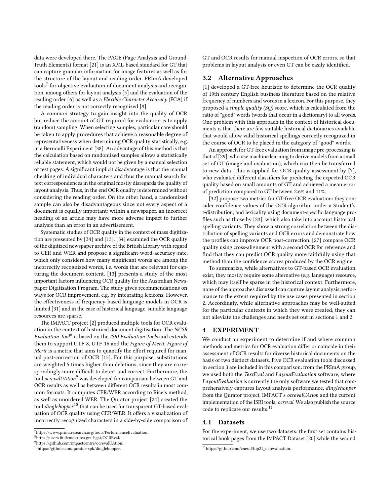data were developed there. The PAGE (Page Analysis and Ground-Truth Elements) format [\[21\]](#page-6-18) is an XML-based standard for GT that can capture granular information for image features as well as for the structure of the layout and reading order. PRImA developed tools $^{7}$  $^{7}$  $^{7}$  for objective evaluation of document analysis and recognition, among others for layout analysis [\[5\]](#page-6-19) and the evaluation of the reading order [\[6\]](#page-6-20) as well as a Flexible Character Accuracy (FCA) if the reading order is not correctly recognized [\[8\]](#page-6-21).

A common strategy to gain insight into the quality of OCR but reduce the amount of GT required for evaluation is to apply (random) sampling. When selecting samples, particular care should be taken to apply procedures that achieve a reasonable degree of representativeness when determining OCR quality statistically, e.g. in a Bernoulli Experiment [\[38\]](#page-6-22). An advantage of this method is that the calculation based on randomized samples allows a statistically reliable statement, which would not be given by a manual selection of test pages. A significant implicit disadvantage is that the manual checking of individual characters and thus the manual search for text correspondences in the original mostly disregards the quality of layout analysis. Thus, in the end OCR quality is determined without considering the reading order. On the other hand, a randomized sample can also be disadvantageous since not every aspect of a document is equally important: within a newspaper, an incorrect heading of an article may have more adverse impact to further analysis than an error in an advertisement.

Systematic studies of OCR quality in the context of mass digitization are presented by [\[34\]](#page-6-23) and [\[13\]](#page-6-24). [\[34\]](#page-6-23) examined the OCR quality of the digitized newspaper archive of the British Library with regard to CER and WER and propose a significant-word-accuracy-rate, which only considers how many significant words are among the incorrectly recognized words, i.e. words that are relevant for capturing the document content. [\[13\]](#page-6-24) presents a study of the most important factors influencing OCR quality for the Australian Newspaper Digitisation Program. The study gives recommendations on ways for OCR improvement, e.g. by integrating lexicons. However, the effectiveness of frequency-based language models in OCR is limited [\[31\]](#page-6-25) and in the case of historical language, suitable language resources are sparse.

The IMPACT project [\[2\]](#page-6-26) produced multiple tools for OCR evaluation in the context of historical document digitisation. The NCSR Evaluation Tool<sup>[8](#page-3-1)</sup> is based on the ISRI Evaluation Tools and extends them to support UTF-8, UTF-16 and the Figure of Merit. Figure of Merit is a metric that aims to quantify the effort required for manual post-correction of OCR [\[15\]](#page-6-27). For this purpose, substitutions are weighted 5 times higher than deletions, since they are correspondingly more difficult to detect and correct. Furthermore, the tool ocrevalUAtion<sup>[9](#page-3-2)</sup> was developed for comparison between GT and OCR results as well as between different OCR results in most common formats. It computes CER/WER according to Rice's method, as well as unordered WER. The Qurator project [\[24\]](#page-6-28) created the tool dinglehopper<sup>[10](#page-3-3)</sup> that can be used for transparent GT-based evaluation of OCR quality using CER/WER. It offers a visualization of incorrectly recognized characters in a side-by-side comparison of

GT and OCR results for manual inspection of OCR errors, so that problems in layout analysis or even GT can be easily identified.

## 3.2 Alternative Approaches

[\[1\]](#page-6-29) developed a GT-free heuristic to determine the OCR quality of 19th century English business literature based on the relative frequency of numbers and words in a lexicon. For this purpose, they proposed a simple quality (SQ) score, which is calculated from the ratio of "good" words (words that occur in a dictionary) to all words. One problem with this approach in the context of historical documents is that there are few suitable historical dictionaries available that would allow valid historical spellings correctly recognized in the course of OCR to be placed in the category of "good" words.

An approach for GT-free evaluation from image pre-processing is that of [\[29\]](#page-6-30), who use machine learning to derive models from a small set of GT (image and evaluation), which can then be transferred to new data. This is applied for OCR quality assessment by [\[7\]](#page-6-31), who evaluated different classifiers for predicting the expected OCR quality based on small amounts of GT and achieved a mean error of prediction compared to GT between 2.6% and 11%.

[\[32\]](#page-6-32) propose two metrics for GT-free OCR evaluation: they consider confidence values of the OCR algorithm under a Student's t-distribution, and lexicality using document-specific language profiles such as those by [\[23\]](#page-6-33), which also take into account historical spelling variants. They show a strong correlation between the distribution of spelling variants and OCR errors and demonstrate how the profiles can improve OCR post-correction. [\[27\]](#page-6-34) compare OCR quality using cross-alignment with a second OCR for reference and find that they can predict OCR quality more faithfully using that method than the confidence scores produced by the OCR engine.

To summarize, while alternatives to GT-based OCR evaluation exist, they mostly require some alternative (e.g. language) resource, which may itself be sparse in the historical context. Furthermore, none of the approaches discussed can capture layout analysis performance to the extent required by the use cases presented in section 2. Accordingly, while alternative approaches may be well-suited for the particular contexts in which they were created, they can not alleviate the challenges and needs set out in sections 1 and 2.

#### 4 EXPERIMENT

We conduct an experiment to determine if and where common methods and metrics for OCR evaluation differ or coincide in their assessment of OCR results for diverse historical documents on the basis of two distinct datasets. Five OCR evaluation tools discussed in section 3 are included in this comparison: from the PRImA group, we used both the TextEval and LayoutEvaluation software, where LayoutEvaluation is currently the only software we tested that comprehensively captures layout analysis performance, dinglehopper from the Qurator project, IMPACT's ocrevalUAtion and the current implementation of the ISRI tools, ocreval. We also publish the source code to replicate our results.<sup>[11](#page-3-4)</sup>

#### 4.1 Datasets

For the experiment, we use two datasets: the first set contains historical book pages from the IMPACT Dataset [\[20\]](#page-6-35) while the second

<span id="page-3-0"></span><sup>7</sup>[https://www.primaresearch.org/tools/PerformanceEvaluation.](https://www.primaresearch.org/tools/PerformanceEvaluation)

<span id="page-3-1"></span> $^8$ [https://users.iit.demokritos.gr/~bgat/OCREval/.](https://users.iit.demokritos.gr/~bgat/OCREval/)

<span id="page-3-2"></span><sup>9</sup>[https://github.com/impactcentre/ocrevalUAtion.](https://github.com/impactcentre/ocrevalUAtion)

<span id="page-3-3"></span> $^{10}\mathrm{https://github.com/qurator-spk/dinglehopper.}$  $^{10}\mathrm{https://github.com/qurator-spk/dinglehopper.}$  $^{10}\mathrm{https://github.com/qurator-spk/dinglehopper.}$ 

<span id="page-3-4"></span><sup>11</sup>[https://github.com/cneud/hip21\\_ocrevaluation.](https://github.com/cneud/hip21_ocrevaluation)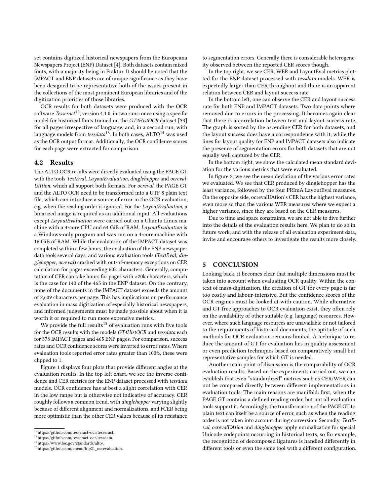set contains digitized historical newspapers from the Europeana Newspapers Project (ENP) Dataset [\[4\]](#page-6-36). Both datasets contain mixed fonts, with a majority being in Fraktur. It should be noted that the IMPACT and ENP datasets are of unique significance as they have been designed to be representative both of the issues present in the collections of the most prominent European libraries and of the digitization priorities of those libraries.

OCR results for both datasets were produced with the OCR software Tesseract<sup>[12](#page-4-0)</sup>, version 4.1.0, in two runs: once using a specific model for historical fonts trained on the GT4HistOCR dataset [\[33\]](#page-6-37) for all pages irrespective of language, and, in a second run, with language models from  $tessdata^{13}$  $tessdata^{13}$  $tessdata^{13}$ . In both cases,  $ALTO^{14}$  $ALTO^{14}$  $ALTO^{14}$  was used as the OCR output format. Additionally, the OCR confidence scores for each page were extracted for comparison.

#### 4.2 Results

The ALTO OCR results were directly evaluated using the PAGE GT with the tools TextEval, LayoutEvaluation, dinglehopper and ocreval-UAtion, which all support both formats. For ocreval, the PAGE GT and the ALTO OCR need to be transformed into a UTF-8 plain text file, which can introduce a source of error in the OCR evaluation, e.g. when the reading order is ignored. For the LayoutEvaluation, a binarized image is required as an additional input. All evaluations except LayoutEvaluation were carried out on a Ubuntu Linux machine with a 4-core CPU and 64 GiB of RAM. LayoutEvaluation is a Windows-only program and was run on a 4-core machine with 16 GiB of RAM. While the evaluation of the IMPACT dataset was completed within a few hours, the evaluation of the ENP newspaper data took several days, and various evaluation tools (TextEval, dinglehopper, ocreval) crashed with out-of-memory exceptions on CER calculation for pages exceeding 60k characters. Generally, computation of CER can take hours for pages with >20k characters, which is the case for 140 of the 465 in the ENP dataset. On the contrary, none of the documents in the IMPACT dataset exceeds the amount of 2,609 characters per page. This has implications on performance evaluation in mass digitization of especially historical newspapers, and informed judgements must be made possible about when it is worth it or required to run more expensive metrics.

We provide the full results<sup>[15](#page-4-3)</sup> of evaluation runs with five tools for the OCR results with the models GT4HistOCR and tessdata each for 378 IMPACT pages and 465 ENP pages. For comparison, success rates and OCR confidence scores were inverted to error rates. Where evaluation tools reported error rates greater than 100%, these were clipped to 1.

Figure [1](#page-5-0) displays four plots that provide different angles at the evaluation results. In the top left chart, we see the inverse confidence and CER metrics for the ENP dataset processed with tessdata models. OCR confidence has at best a slight correlation with CER in the low range but is otherwise not indicative of accuracy. CER roughly follows a common trend, with dinglehopper varying slightly because of different alignment and normalizations, and FCER being more optimistic than the other CER values because of its resistance

to segmentation errors. Generally there is considerable heterogeneity observed between the reported CER scores though.

In the top right, we see CER, WER and LayoutEval metrics plotted for the ENP dataset processed with tessdata models. WER is expectedly larger than CER throughout and there is an apparent relation between CER and layout success rate.

In the bottom left, one can observe the CER and layout success rate for both ENP and IMPACT datasets. Two data points where removed due to errors in the processing. It becomes again clear that there is a correlation between text and layout success rate. The graph is sorted by the ascending CER for both datasets, and the layout success does have a correspondence with it, while the lines for layout quality for ENP and IMPACT datasets also indicate the presence of segmentation errors for both datasets that are not equally well captured by the CER.

In the bottom right, we show the calculated mean standard deviation for the various metrics that were evaluated.

In figure [2,](#page-5-1) we see the mean deviation of the various error rates we evaluated. We see that CER produced by dinglehopper has the least variance, followed by the four PRImA LayoutEval measures. On the opposite side, ocrevalUAtion's CER has the highest variance, even more so than the various WER measures where we expect a higher variance, since they are based on the CER measures.

Due to time and space constraints, we are not able to dive further into the details of the evaluation results here. We plan to do so in future work, and with the release of all evaluation experiment data, invite and encourage others to investigate the results more closely.

#### 5 CONCLUSION

Looking back, it becomes clear that multiple dimensions must be taken into account when evaluating OCR quality. Within the context of mass-digitization, the creation of GT for every page is far too costly and labour-intensive. But the confidence scores of the OCR engines must be looked at with caution. While alternative and GT-free approaches to OCR evaluation exist, they often rely on the availability of other suitable (e.g. language) resources. However, where such language resources are unavailable or not tailored to the requirements of historical documents, the aptitude of such methods for OCR evaluation remains limited. A technique to reduce the amount of GT for evaluation lies in quality assessment or even prediction techniques based on comparatively small but representative samples for which GT is needed.

Another main point of discussion is the comparability of OCR evaluation results. Based on the experiments carried out, we can establish that even "standardized" metrics such as CER/WER can not be compared directly between different implementations in evaluation tools. The main reasons are manifold: first, when the PAGE GT contains a defined reading order, but not all evaluation tools support it. Accordingly, the transformation of the PAGE GT to plain text can itself be a source of error, such as when the reading order is not taken into account during conversion. Secondly, TextEval, ocrevalUAtion and dinglehopper apply normalization for special Unicode codepoints occurring in historical texts, so for example, the recognition of decomposed ligatures is handled differently in different tools or even the same tool with a different configuration.

<span id="page-4-0"></span><sup>12</sup>[https://github.com/tesseract-ocr/tesseract.](https://github.com/tesseract-ocr/tesseract)

<span id="page-4-1"></span> $^{13}{\rm https://github.com/tesseract-ocr/tessdata.}$  $^{13}{\rm https://github.com/tesseract-ocr/tessdata.}$  $^{13}{\rm https://github.com/tesseract-ocr/tessdata.}$ 

<span id="page-4-2"></span><sup>14</sup>[https://www.loc.gov/standards/alto/.](https://www.loc.gov/standards/alto/)

<span id="page-4-3"></span><sup>15</sup>[https://github.com/cneud/hip21\\_ocrevaluation.](https://github.com/cneud/hip21_ocrevaluation)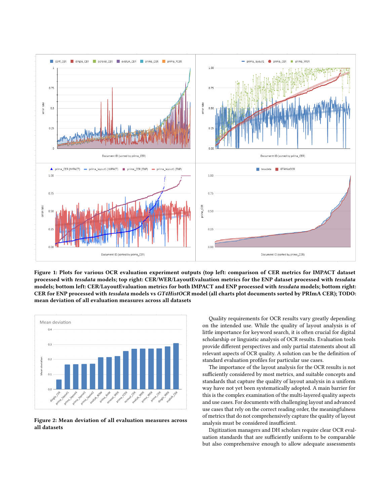<span id="page-5-0"></span>

Figure 1: Plots for various OCR evaluation experiment outputs (top left: comparison of CER metrics for IMPACT dataset processed with tessdata models; top right: CER/WER/LayoutEvaluation metrics for the ENP dataset processed with tessdata models; bottom left: CER/LayoutEvaluation metrics for both IMPACT and ENP processed with tessdata models; bottom right: CER for ENP processed with tessdata models vs GT4HistOCR model (all charts plot documents sorted by PRImA CER); TODO: mean deviation of all evaluation measures across all datasets

<span id="page-5-1"></span>

Figure 2: Mean deviation of all evaluation measures across all datasets

Quality requirements for OCR results vary greatly depending on the intended use. While the quality of layout analysis is of little importance for keyword search, it is often crucial for digital scholarship or linguistic analysis of OCR results. Evaluation tools provide different perspectives and only partial statements about all relevant aspects of OCR quality. A solution can be the definition of standard evaluation profiles for particular use cases.

The importance of the layout analysis for the OCR results is not sufficiently considered by most metrics, and suitable concepts and standards that capture the quality of layout analysis in a uniform way have not yet been systematically adopted. A main barrier for this is the complex examination of the multi-layered quality aspects and use cases. For documents with challenging layout and advanced use cases that rely on the correct reading order, the meaningfulness of metrics that do not comprehensively capture the quality of layout analysis must be considered insufficient.

Digitization managers and DH scholars require clear OCR evaluation standards that are sufficiently uniform to be comparable but also comprehensive enough to allow adequate assessments